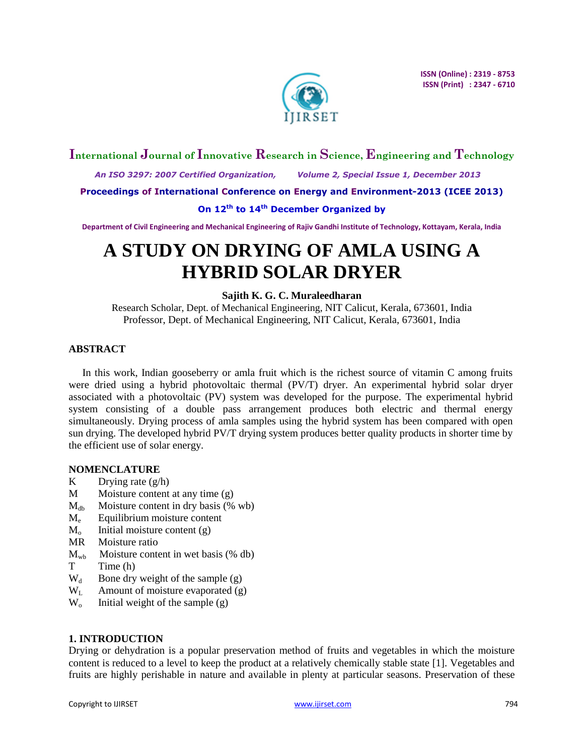

## **International Journal of Innovative Research in Science, Engineering and Technology**

 *An ISO 3297: 2007 Certified Organization, Volume 2, Special Issue 1, December 2013*

**Proceedings of International Conference on Energy and Environment-2013 (ICEE 2013)**

#### **On 12th to 14th December Organized by**

**Department of Civil Engineering and Mechanical Engineering of Rajiv Gandhi Institute of Technology, Kottayam, Kerala, India**

# **A STUDY ON DRYING OF AMLA USING A HYBRID SOLAR DRYER**

## **Sajith K. G. C. Muraleedharan**

Research Scholar, Dept. of Mechanical Engineering, NIT Calicut, Kerala, 673601, India Professor, Dept. of Mechanical Engineering, NIT Calicut, Kerala, 673601, India

### **ABSTRACT**

In this work, Indian gooseberry or amla fruit which is the richest source of vitamin C among fruits were dried using a hybrid photovoltaic thermal (PV/T) dryer. An experimental hybrid solar dryer associated with a photovoltaic (PV) system was developed for the purpose. The experimental hybrid system consisting of a double pass arrangement produces both electric and thermal energy simultaneously. Drying process of amla samples using the hybrid system has been compared with open sun drying. The developed hybrid PV/T drying system produces better quality products in shorter time by the efficient use of solar energy.

### **NOMENCLATURE**

- K Drying rate  $(g/h)$
- $M$  Moisture content at any time  $(g)$
- $M_{db}$  Moisture content in dry basis (% wb)
- $M_e$  Equilibrium moisture content
- $M<sub>o</sub>$  Initial moisture content (g)
- MR Moisture ratio
- $M_{\text{wb}}$  Moisture content in wet basis (% db)
- T Time (h)
- $W_d$  Bone dry weight of the sample (g)
- $W_L$  Amount of moisture evaporated (g)
- $W_0$  Initial weight of the sample  $(g)$

### **1. INTRODUCTION**

Drying or dehydration is a popular preservation method of fruits and vegetables in which the moisture content is reduced to a level to keep the product at a relatively chemically stable state [1]. Vegetables and fruits are highly perishable in nature and available in plenty at particular seasons. Preservation of these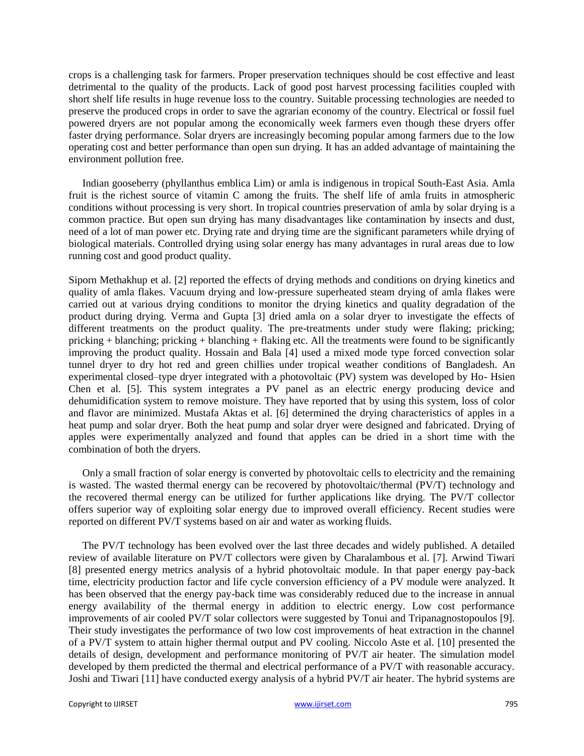crops is a challenging task for farmers. Proper preservation techniques should be cost effective and least detrimental to the quality of the products. Lack of good post harvest processing facilities coupled with short shelf life results in huge revenue loss to the country. Suitable processing technologies are needed to preserve the produced crops in order to save the agrarian economy of the country. Electrical or fossil fuel powered dryers are not popular among the economically week farmers even though these dryers offer faster drying performance. Solar dryers are increasingly becoming popular among farmers due to the low operating cost and better performance than open sun drying. It has an added advantage of maintaining the environment pollution free.

Indian gooseberry (phyllanthus emblica Lim) or amla is indigenous in tropical South-East Asia. Amla fruit is the richest source of vitamin C among the fruits. The shelf life of amla fruits in atmospheric conditions without processing is very short. In tropical countries preservation of amla by solar drying is a common practice. But open sun drying has many disadvantages like contamination by insects and dust, need of a lot of man power etc. Drying rate and drying time are the significant parameters while drying of biological materials. Controlled drying using solar energy has many advantages in rural areas due to low running cost and good product quality.

Siporn Methakhup et al. [2] reported the effects of drying methods and conditions on drying kinetics and quality of amla flakes. Vacuum drying and low-pressure superheated steam drying of amla flakes were carried out at various drying conditions to monitor the drying kinetics and quality degradation of the product during drying. Verma and Gupta [3] dried amla on a solar dryer to investigate the effects of different treatments on the product quality. The pre-treatments under study were flaking; pricking; pricking + blanching; pricking + blanching + flaking etc. All the treatments were found to be significantly improving the product quality. Hossain and Bala [4] used a mixed mode type forced convection solar tunnel dryer to dry hot red and green chillies under tropical weather conditions of Bangladesh. An experimental closed–type dryer integrated with a photovoltaic (PV) system was developed by Ho- Hsien Chen et al. [5]. This system integrates a PV panel as an electric energy producing device and dehumidification system to remove moisture. They have reported that by using this system, loss of color and flavor are minimized. Mustafa Aktas et al. [6] determined the drying characteristics of apples in a heat pump and solar dryer. Both the heat pump and solar dryer were designed and fabricated. Drying of apples were experimentally analyzed and found that apples can be dried in a short time with the combination of both the dryers.

Only a small fraction of solar energy is converted by photovoltaic cells to electricity and the remaining is wasted. The wasted thermal energy can be recovered by photovoltaic/thermal (PV/T) technology and the recovered thermal energy can be utilized for further applications like drying. The PV/T collector offers superior way of exploiting solar energy due to improved overall efficiency. Recent studies were reported on different PV/T systems based on air and water as working fluids.

The PV/T technology has been evolved over the last three decades and widely published. A detailed review of available literature on PV/T collectors were given by Charalambous et al. [7]. Arwind Tiwari [8] presented energy metrics analysis of a hybrid photovoltaic module. In that paper energy pay-back time, electricity production factor and life cycle conversion efficiency of a PV module were analyzed. It has been observed that the energy pay-back time was considerably reduced due to the increase in annual energy availability of the thermal energy in addition to electric energy. Low cost performance improvements of air cooled PV/T solar collectors were suggested by Tonui and Tripanagnostopoulos [9]. Their study investigates the performance of two low cost improvements of heat extraction in the channel of a PV/T system to attain higher thermal output and PV cooling. Niccolo Aste et al. [10] presented the details of design, development and performance monitoring of PV/T air heater. The simulation model developed by them predicted the thermal and electrical performance of a PV/T with reasonable accuracy. Joshi and Tiwari [11] have conducted exergy analysis of a hybrid PV/T air heater. The hybrid systems are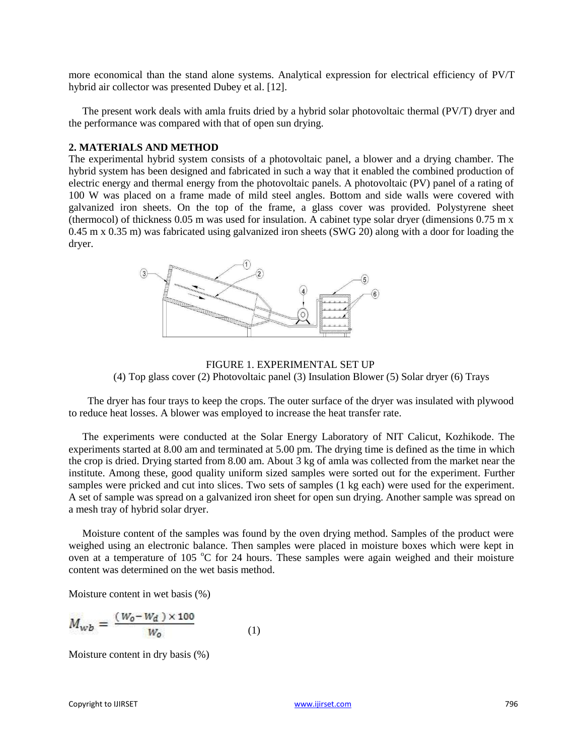more economical than the stand alone systems. Analytical expression for electrical efficiency of PV/T hybrid air collector was presented Dubey et al. [12].

The present work deals with amla fruits dried by a hybrid solar photovoltaic thermal (PV/T) dryer and the performance was compared with that of open sun drying.

### **2. MATERIALS AND METHOD**

The experimental hybrid system consists of a photovoltaic panel, a blower and a drying chamber. The hybrid system has been designed and fabricated in such a way that it enabled the combined production of electric energy and thermal energy from the photovoltaic panels. A photovoltaic (PV) panel of a rating of 100 W was placed on a frame made of mild steel angles. Bottom and side walls were covered with galvanized iron sheets. On the top of the frame, a glass cover was provided. Polystyrene sheet (thermocol) of thickness 0.05 m was used for insulation. A cabinet type solar dryer (dimensions 0.75 m x 0.45 m x 0.35 m) was fabricated using galvanized iron sheets (SWG 20) along with a door for loading the dryer.



FIGURE 1. EXPERIMENTAL SET UP (4) Top glass cover (2) Photovoltaic panel (3) Insulation Blower (5) Solar dryer (6) Trays

The dryer has four trays to keep the crops. The outer surface of the dryer was insulated with plywood to reduce heat losses. A blower was employed to increase the heat transfer rate.

The experiments were conducted at the Solar Energy Laboratory of NIT Calicut, Kozhikode. The experiments started at 8.00 am and terminated at 5.00 pm. The drying time is defined as the time in which the crop is dried. Drying started from 8.00 am. About 3 kg of amla was collected from the market near the institute. Among these, good quality uniform sized samples were sorted out for the experiment. Further samples were pricked and cut into slices. Two sets of samples (1 kg each) were used for the experiment. A set of sample was spread on a galvanized iron sheet for open sun drying. Another sample was spread on a mesh tray of hybrid solar dryer.

Moisture content of the samples was found by the oven drying method. Samples of the product were weighed using an electronic balance. Then samples were placed in moisture boxes which were kept in oven at a temperature of 105  $^{\circ}$ C for 24 hours. These samples were again weighed and their moisture content was determined on the wet basis method.

Moisture content in wet basis (%)

$$
M_{wb} = \frac{(W_0 - W_d) \times 100}{W_0} \tag{1}
$$

Moisture content in dry basis (%)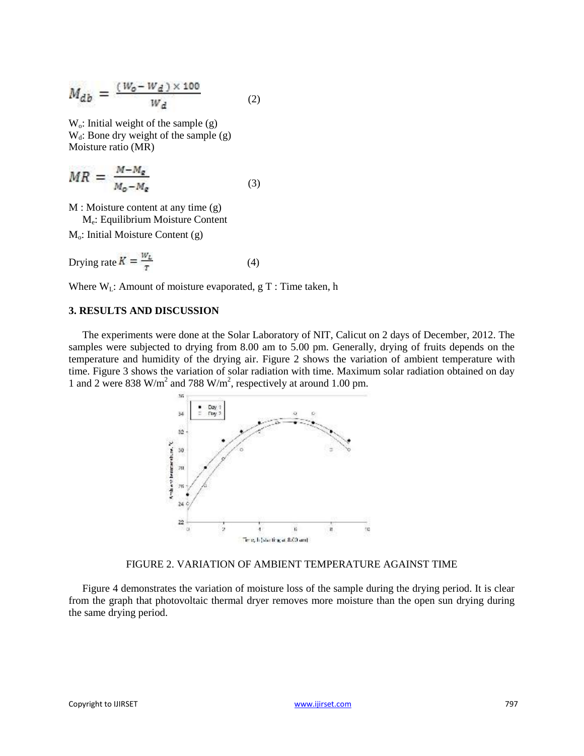$$
M_{db} = \frac{(W_o - W_d) \times 100}{W_d} \tag{2}
$$

 $W_0$ : Initial weight of the sample (g)  $W_d$ : Bone dry weight of the sample  $(g)$ Moisture ratio (MR)

$$
MR = \frac{M - M_{\rm g}}{M_{\rm o} - M_{\rm g}} \tag{3}
$$

M : Moisture content at any time (g)

M<sup>e</sup> : Equilibrium Moisture Content

 $M<sub>o</sub>$ : Initial Moisture Content (g)

$$
Drying rate K = \frac{w_L}{T}
$$
 (4)

Where  $W_L$ : Amount of moisture evaporated, g T : Time taken, h

### **3. RESULTS AND DISCUSSION**

The experiments were done at the Solar Laboratory of NIT, Calicut on 2 days of December, 2012. The samples were subjected to drying from 8.00 am to 5.00 pm. Generally, drying of fruits depends on the temperature and humidity of the drying air. Figure 2 shows the variation of ambient temperature with time. Figure 3 shows the variation of solar radiation with time. Maximum solar radiation obtained on day 1 and 2 were 838 W/m<sup>2</sup> and 788 W/m<sup>2</sup>, respectively at around 1.00 pm.



FIGURE 2. VARIATION OF AMBIENT TEMPERATURE AGAINST TIME

Figure 4 demonstrates the variation of moisture loss of the sample during the drying period. It is clear from the graph that photovoltaic thermal dryer removes more moisture than the open sun drying during the same drying period.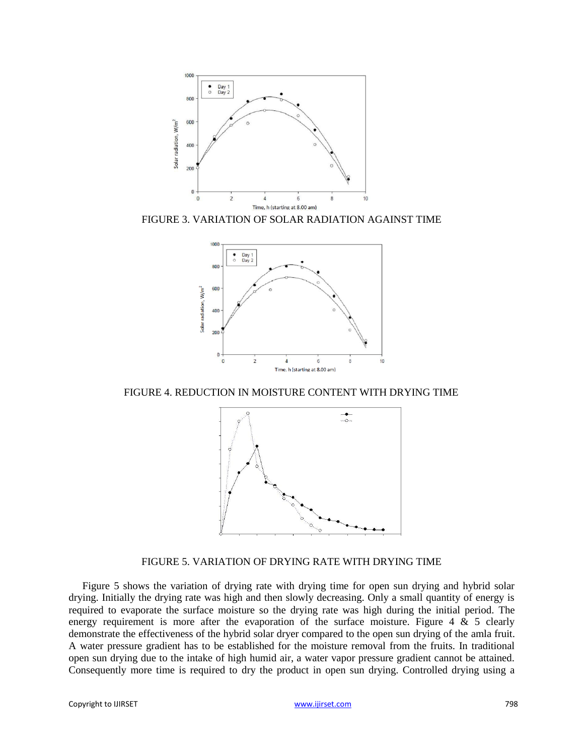

FIGURE 3. VARIATION OF SOLAR RADIATION AGAINST TIME



FIGURE 4. REDUCTION IN MOISTURE CONTENT WITH DRYING TIME



FIGURE 5. VARIATION OF DRYING RATE WITH DRYING TIME

Figure 5 shows the variation of drying rate with drying time for open sun drying and hybrid solar drying. Initially the drying rate was high and then slowly decreasing. Only a small quantity of energy is required to evaporate the surface moisture so the drying rate was high during the initial period. The energy requirement is more after the evaporation of the surface moisture. Figure 4  $\&$  5 clearly demonstrate the effectiveness of the hybrid solar dryer compared to the open sun drying of the amla fruit. A water pressure gradient has to be established for the moisture removal from the fruits. In traditional open sun drying due to the intake of high humid air, a water vapor pressure gradient cannot be attained. Consequently more time is required to dry the product in open sun drying. Controlled drying using a